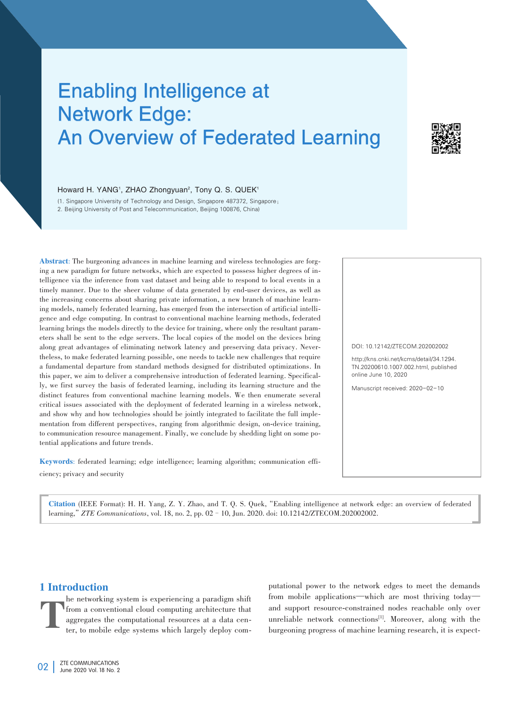# Enabling Intelligence at Network Edge: An Overview of Federated Learning



#### Howard H. YANG<sup>1</sup>, ZHAO Zhongyuan<sup>2</sup>, Tony Q. S. QUEK<sup>1</sup>

(1. Singapore University of Technology and Design, Singapore 487372, Singapore; 2. Beijing University of Post and Telecommunication, Beijing 100876, China)

Abstract: The burgeoning advances in machine learning and wireless technologies are forging a new paradigm for future networks, which are expected to possess higher degrees of intelligence via the inference from vast dataset and being able to respond to local events in a timely manner. Due to the sheer volume of data generated by end-user devices, as well as the increasing concerns about sharing private information, a new branch of machine learn ing models, namely federated learning, has emerged from the intersection of artificial intelligence and edge computing. In contrast to conventional machine learning methods, federated learning brings the models directly to the device for training, where only the resultant parameters shall be sent to the edge servers. The local copies of the model on the devices bring along great advantages of eliminating network latency and preserving data privacy. Nevertheless, to make federated learning possible, one needs to tackle new challenges that require a fundamental departure from standard methods designed for distributed optimizations. In this paper, we aim to deliver a comprehensive introduction of federated learning. Specifical ly, we first survey the basis of federated learning, including its learning structure and the distinct features from conventional machine learning models. We then enumerate several critical issues associated with the deployment of federated learning in a wireless network, and show why and how technologies should be jointly integrated to facilitate the full implementation from different perspectives, ranging from algorithmic design, on-device training, to communication resource management. Finally, we conclude by shedding light on some potential applications and future trends.

Keywords: federated learning; edge intelligence; learning algorithm; communication efficiency; privacy and security

DOI: 10.12142/ZTECOM.202002002 http://kns.cnki.net/kcms/detail/34.1294. TN.20200610.1007.002.html, published online June 10, 2020 Manuscript received: 2020-02-10

Citation (IEEE Format): H. H. Yang, Z. Y. Zhao, and T. Q. S. Quek,"Enabling intelligence at network edge: an overview of federated learning,"*ZTE Communications*, vol. 18, no. 2, pp. 02–10, Jun. 2020. doi: 10.12142/ZTECOM.202002002.

# 1 Introduction

T he networking system is experiencing a paradigm shift from a conventional cloud computing architecture that aggregates the computational resources at a data center, to mobile edge systems which largely deploy computational power to the network edges to meet the demands from mobile applications—which are most thriving today and support resource-constrained nodes reachable only over unreliable network connections<sup>[1]</sup>. Moreover, along with the burgeoning progress of machine learning research, it is expect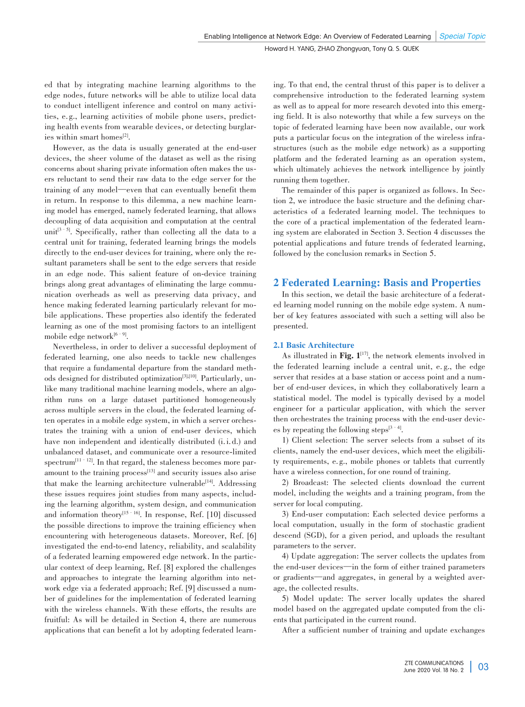ed that by integrating machine learning algorithms to the edge nodes, future networks will be able to utilize local data to conduct intelligent inference and control on many activities, e.g., learning activities of mobile phone users, predicting health events from wearable devices, or detecting burglaries within smart homes $^{[2]}$ .

However, as the data is usually generated at the end-user devices, the sheer volume of the dataset as well as the rising concerns about sharing private information often makes the users reluctant to send their raw data to the edge server for the training of any model—even that can eventually benefit them in return. In response to this dilemma, a new machine learning model has emerged, namely federated learning, that allows decoupling of data acquisition and computation at the central unit[3–5] . Specifically, rather than collecting all the data to a central unit for training, federated learning brings the models directly to the end-user devices for training, where only the resultant parameters shall be sent to the edge servers that reside in an edge node. This salient feature of on-device training brings along great advantages of eliminating the large communication overheads as well as preserving data privacy, and hence making federated learning particularly relevant for mobile applications. These properties also identify the federated learning as one of the most promising factors to an intelligent mobile edge network<sup>[6–9]</sup>.

Nevertheless, in order to deliver a successful deployment of federated learning, one also needs to tackle new challenges that require a fundamental departure from the standard methods designed for distributed optimization<sup>[3],[10]</sup>. Particularly, unlike many traditional machine learning models, where an algorithm runs on a large dataset partitioned homogeneously across multiple servers in the cloud, the federated learning often operates in a mobile edge system, in which a server orchestrates the training with a union of end-user devices, which have non independent and identically distributed  $(i.i.d.)$  and unbalanced dataset, and communicate over a resource-limited  $spectrum<sup>[11-12]</sup>$ . In that regard, the staleness becomes more paramount to the training process<sup>[13]</sup> and security issues also arise that make the learning architecture vulnerable<sup>[14]</sup>. Addressing these issues requires joint studies from many aspects, including the learning algorithm, system design, and communication and information theory<sup>[15–16]</sup>. In response, Ref. [10] discussed the possible directions to improve the training efficiency when encountering with heterogeneous datasets. Moreover, Ref. [6] investigated the end-to-end latency, reliability, and scalability of a federated learning empowered edge network. In the particular context of deep learning, Ref. [8] explored the challenges and approaches to integrate the learning algorithm into network edge via a federated approach; Ref. [9] discussed a number of guidelines for the implementation of federated learning with the wireless channels. With these efforts, the results are fruitful: As will be detailed in Section 4, there are numerous applications that can benefit a lot by adopting federated learning. To that end, the central thrust of this paper is to deliver a comprehensive introduction to the federated learning system as well as to appeal for more research devoted into this emerging field. It is also noteworthy that while a few surveys on the topic of federated learning have been now available, our work puts a particular focus on the integration of the wireless infrastructures (such as the mobile edge network) as a supporting platform and the federated learning as an operation system, which ultimately achieves the network intelligence by jointly running them together.

The remainder of this paper is organized as follows. In Section 2, we introduce the basic structure and the defining characteristics of a federated learning model. The techniques to the core of a practical implementation of the federated learning system are elaborated in Section 3. Section 4 discusses the potential applications and future trends of federated learning, followed by the conclusion remarks in Section 5.

# 2 Federated Learning: Basis and Properties

In this section, we detail the basic architecture of a federated learning model running on the mobile edge system. A number of key features associated with such a setting will also be presented.

## 2.1 Basic Architecture

As illustrated in Fig.  $1^{[17]}$ , the network elements involved in the federated learning include a central unit, e. g., the edge server that resides at a base station or access point and a number of end-user devices, in which they collaboratively learn a statistical model. The model is typically devised by a model engineer for a particular application, with which the server then orchestrates the training process with the end-user devices by repeating the following steps $[3 - 4]$ .

1) Client selection: The server selects from a subset of its clients, namely the end-user devices, which meet the eligibility requirements, e. g., mobile phones or tablets that currently have a wireless connection, for one round of training.

2) Broadcast: The selected clients download the current model, including the weights and a training program, from the server for local computing.

3) End-user computation: Each selected device performs a local computation, usually in the form of stochastic gradient descend (SGD), for a given period, and uploads the resultant parameters to the server.

4) Update aggregation: The server collects the updates from the end-user devices—in the form of either trained parameters or gradients—and aggregates, in general by a weighted average, the collected results.

5) Model update: The server locally updates the shared model based on the aggregated update computed from the clients that participated in the current round.

After a sufficient number of training and update exchanges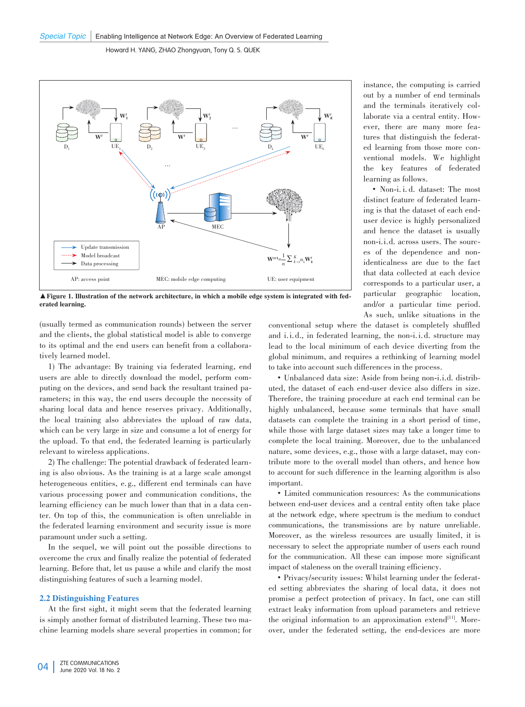

▲Figure 1. Illustration of the network architecture, in which a mobile edge system is integrated with fed⁃ erated learning.

(usually termed as communication rounds) between the server and the clients, the global statistical model is able to converge to its optimal and the end users can benefit from a collaboratively learned model.

1) The advantage: By training via federated learning, end users are able to directly download the model, perform computing on the devices, and send back the resultant trained parameters; in this way, the end users decouple the necessity of sharing local data and hence reserves privacy. Additionally, the local training also abbreviates the upload of raw data, which can be very large in size and consume a lot of energy for the upload. To that end, the federated learning is particularly relevant to wireless applications.

2) The challenge: The potential drawback of federated learning is also obvious. As the training is at a large scale amongst heterogeneous entities, e.g., different end terminals can have various processing power and communication conditions, the learning efficiency can be much lower than that in a data center. On top of this, the communication is often unreliable in the federated learning environment and security issue is more paramount under such a setting.

In the sequel, we will point out the possible directions to overcome the crux and finally realize the potential of federated learning. Before that, let us pause a while and clarify the most distinguishing features of such a learning model.

### 2.2 Distinguishing Features

At the first sight, it might seem that the federated learning is simply another format of distributed learning. These two machine learning models share several properties in common; for

instance, the computing is carried out by a number of end terminals and the terminals iteratively collaborate via a central entity. However, there are many more features that distinguish the federated learning from those more conventional models. We highlight the key features of federated learning as follows.

• Non-i. i. d. dataset: The most distinct feature of federated learning is that the dataset of each enduser device is highly personalized and hence the dataset is usually non-i.i.d. across users. The sources of the dependence and nonidenticalness are due to the fact that data collected at each device corresponds to a particular user, a particular geographic location, and/or a particular time period. As such, unlike situations in the

conventional setup where the dataset is completely shuffled and i.i. d., in federated learning, the non-i.i. d. structure may lead to the local minimum of each device diverting from the global minimum, and requires a rethinking of learning model to take into account such differences in the process.

• Unbalanced data size: Aside from being non-i.i.d. distributed, the dataset of each end-user device also differs in size. Therefore, the training procedure at each end terminal can be highly unbalanced, because some terminals that have small datasets can complete the training in a short period of time, while those with large dataset sizes may take a longer time to complete the local training. Moreover, due to the unbalanced nature, some devices, e.g., those with a large dataset, may contribute more to the overall model than others, and hence how to account for such difference in the learning algorithm is also important.

• Limited communication resources: As the communications between end-user devices and a central entity often take place at the network edge, where spectrum is the medium to conduct communications, the transmissions are by nature unreliable. Moreover, as the wireless resources are usually limited, it is necessary to select the appropriate number of users each round for the communication. All these can impose more significant impact of staleness on the overall training efficiency.

• Privacy/security issues: Whilst learning under the federated setting abbreviates the sharing of local data, it does not promise a perfect protection of privacy. In fact, one can still extract leaky information from upload parameters and retrieve the original information to an approximation extend<sup>[11]</sup>. Moreover, under the federated setting, the end-devices are more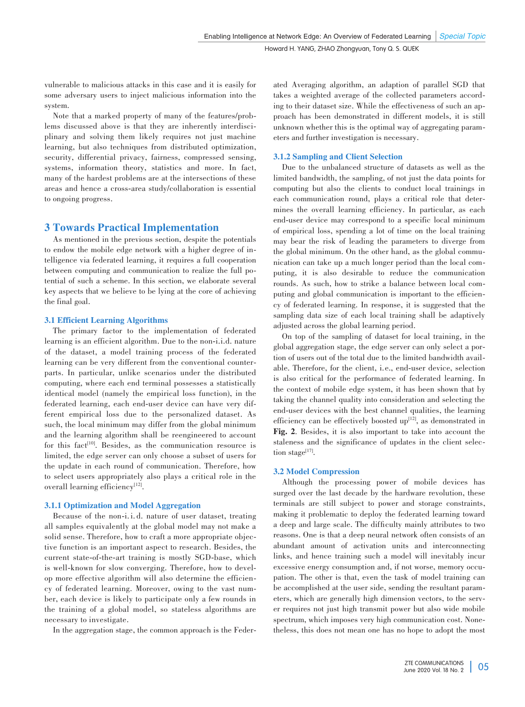vulnerable to malicious attacks in this case and it is easily for some adversary users to inject malicious information into the system.

Note that a marked property of many of the features/problems discussed above is that they are inherently interdisciplinary and solving them likely requires not just machine learning, but also techniques from distributed optimization, security, differential privacy, fairness, compressed sensing, systems, information theory, statistics and more. In fact, many of the hardest problems are at the intersections of these areas and hence a cross-area study/collaboration is essential to ongoing progress.

## 3 Towards Practical Implementation

As mentioned in the previous section, despite the potentials to endow the mobile edge network with a higher degree of intelligence via federated learning, it requires a full cooperation between computing and communication to realize the full potential of such a scheme. In this section, we elaborate several key aspects that we believe to be lying at the core of achieving the final goal.

#### 3.1 Efficient Learning Algorithms

The primary factor to the implementation of federated learning is an efficient algorithm. Due to the non-i.i.d. nature of the dataset, a model training process of the federated learning can be very different from the conventional counterparts. In particular, unlike scenarios under the distributed computing, where each end terminal possesses a statistically identical model (namely the empirical loss function), in the federated learning, each end-user device can have very different empirical loss due to the personalized dataset. As such, the local minimum may differ from the global minimum and the learning algorithm shall be reengineered to account for this fact<sup>[10]</sup>. Besides, as the communication resource is limited, the edge server can only choose a subset of users for the update in each round of communication. Therefore, how to select users appropriately also plays a critical role in the overall learning efficiency<sup>[12]</sup>.

#### 3.1.1 Optimization and Model Aggregation

Because of the non-i. i. d. nature of user dataset, treating all samples equivalently at the global model may not make a solid sense. Therefore, how to craft a more appropriate objective function is an important aspect to research. Besides, the current state-of-the-art training is mostly SGD-base, which is well-known for slow converging. Therefore, how to develop more effective algorithm will also determine the efficiency of federated learning. Moreover, owing to the vast number, each device is likely to participate only a few rounds in the training of a global model, so stateless algorithms are necessary to investigate.

In the aggregation stage, the common approach is the Feder-

ated Averaging algorithm, an adaption of parallel SGD that takes a weighted average of the collected parameters according to their dataset size. While the effectiveness of such an approach has been demonstrated in different models, it is still unknown whether this is the optimal way of aggregating param eters and further investigation is necessary.

#### 3.1.2 Sampling and Client Selection

Due to the unbalanced structure of datasets as well as the limited bandwidth, the sampling, of not just the data points for computing but also the clients to conduct local trainings in each communication round, plays a critical role that determines the overall learning efficiency. In particular, as each end-user device may correspond to a specific local minimum of empirical loss, spending a lot of time on the local training may bear the risk of leading the parameters to diverge from the global minimum. On the other hand, as the global communication can take up a much longer period than the local com⁃ puting, it is also desirable to reduce the communication rounds. As such, how to strike a balance between local computing and global communication is important to the efficiency of federated learning. In response, it is suggested that the sampling data size of each local training shall be adaptively adjusted across the global learning period.

On top of the sampling of dataset for local training, in the global aggregation stage, the edge server can only select a portion of users out of the total due to the limited bandwidth available. Therefore, for the client, i.e., end-user device, selection is also critical for the performance of federated learning. In the context of mobile edge system, it has been shown that by taking the channel quality into consideration and selecting the end-user devices with the best channel qualities, the learning efficiency can be effectively boosted  $up^{12}$ , as demonstrated in Fig. 2. Besides, it is also important to take into account the staleness and the significance of updates in the client selection stage $^{[17]}$ .

#### 3.2 Model Compression

Although the processing power of mobile devices has surged over the last decade by the hardware revolution, these terminals are still subject to power and storage constraints, making it problematic to deploy the federated learning toward a deep and large scale. The difficulty mainly attributes to two reasons. One is that a deep neural network often consists of an abundant amount of activation units and interconnecting links, and hence training such a model will inevitably incur excessive energy consumption and, if not worse, memory occupation. The other is that, even the task of model training can be accomplished at the user side, sending the resultant parameters, which are generally high dimension vectors, to the server requires not just high transmit power but also wide mobile spectrum, which imposes very high communication cost. Nonetheless, this does not mean one has no hope to adopt the most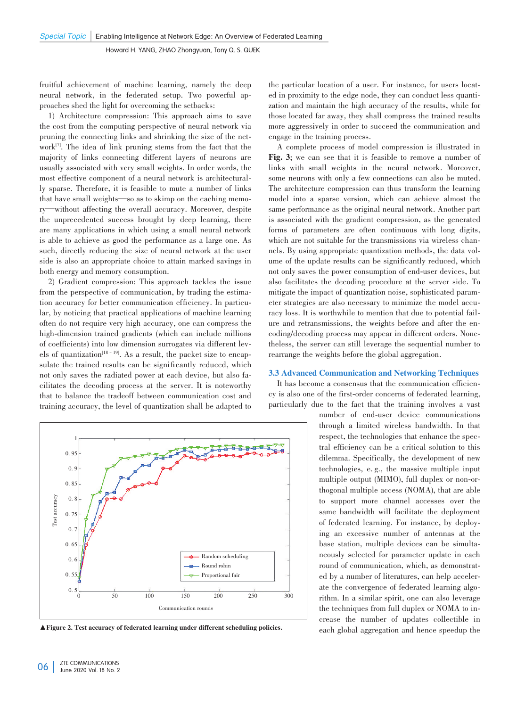fruitful achievement of machine learning, namely the deep neural network, in the federated setup. Two powerful approaches shed the light for overcoming the setbacks:

1) Architecture compression: This approach aims to save the cost from the computing perspective of neural network via pruning the connecting links and shrinking the size of the network<sup>[7]</sup>. The idea of link pruning stems from the fact that the majority of links connecting different layers of neurons are usually associated with very small weights. In order words, the most effective component of a neural network is architecturally sparse. Therefore, it is feasible to mute a number of links that have small weights—so as to skimp on the caching memory—without affecting the overall accuracy. Moreover, despite the unprecedented success brought by deep learning, there are many applications in which using a small neural network is able to achieve as good the performance as a large one. As such, directly reducing the size of neural network at the user side is also an appropriate choice to attain marked savings in both energy and memory consumption.

2) Gradient compression: This approach tackles the issue from the perspective of communication, by trading the estimation accuracy for better communication efficiency. In particular, by noticing that practical applications of machine learning often do not require very high accuracy, one can compress the high-dimension trained gradients (which can include millions of coefficients) into low dimension surrogates via different levels of quantization<sup>[18–19]</sup>. As a result, the packet size to encapsulate the trained results can be significantly reduced, which not only saves the radiated power at each device, but also facilitates the decoding process at the server. It is noteworthy that to balance the tradeoff between communication cost and training accuracy, the level of quantization shall be adapted to



the particular location of a user. For instance, for users located in proximity to the edge node, they can conduct less quantization and maintain the high accuracy of the results, while for those located far away, they shall compress the trained results more aggressively in order to succeed the communication and engage in the training process.

A complete process of model compression is illustrated in Fig. 3**;** we can see that it is feasible to remove a number of links with small weights in the neural network. Moreover, some neurons with only a few connections can also be muted. The architecture compression can thus transform the learning model into a sparse version, which can achieve almost the same performance as the original neural network. Another part is associated with the gradient compression, as the generated forms of parameters are often continuous with long digits, which are not suitable for the transmissions via wireless channels. By using appropriate quantization methods, the data volume of the update results can be significantly reduced, which not only saves the power consumption of end-user devices, but also facilitates the decoding procedure at the server side. To mitigate the impact of quantization noise, sophisticated param eter strategies are also necessary to minimize the model accuracy loss. It is worthwhile to mention that due to potential failure and retransmissions, the weights before and after the encoding/decoding process may appear in different orders. Nonetheless, the server can still leverage the sequential number to rearrange the weights before the global aggregation.

#### 3.3 Advanced Communication and Networking Techniques

It has become a consensus that the communication efficiency is also one of the first-order concerns of federated learning, particularly due to the fact that the training involves a vast

number of end-user device communications through a limited wireless bandwidth. In that respect, the technologies that enhance the spectral efficiency can be a critical solution to this dilemma. Specifically, the development of new technologies, e. g., the massive multiple input multiple output (MIMO), full duplex or non-orthogonal multiple access (NOMA), that are able to support more channel accesses over the same bandwidth will facilitate the deployment of federated learning. For instance, by deploying an excessive number of antennas at the base station, multiple devices can be simultaneously selected for parameter update in each round of communication, which, as demonstrated by a number of literatures, can help acceler ate the convergence of federated learning algorithm. In a similar spirit, one can also leverage the techniques from full duplex or NOMA to increase the number of updates collectible in ▲ Figure 2. Test accuracy of federated learning under different scheduling policies. each global aggregation and hence speedup the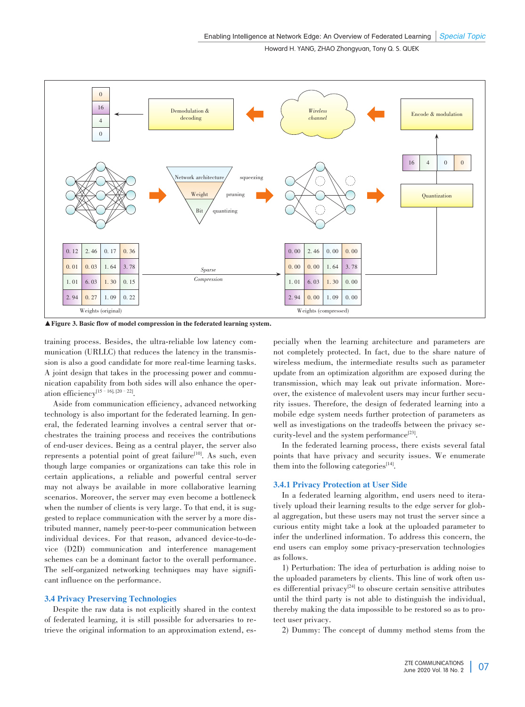

▲Figure 3. Basic flow of model compression in the federated learning system.

training process. Besides, the ultra-reliable low latency com⁃ munication (URLLC) that reduces the latency in the transmission is also a good candidate for more real-time learning tasks. A joint design that takes in the processing power and communication capability from both sides will also enhance the operation efficiency<sup>[15 – 16], [20 – 22]</sup>.

Aside from communication efficiency, advanced networking technology is also important for the federated learning. In general, the federated learning involves a central server that orchestrates the training process and receives the contributions of end-user devices. Being as a central player, the server also represents a potential point of great failure<sup>[10]</sup>. As such, even though large companies or organizations can take this role in certain applications, a reliable and powerful central server may not always be available in more collaborative learning scenarios. Moreover, the server may even become a bottleneck when the number of clients is very large. To that end, it is suggested to replace communication with the server by a more distributed manner, namely peer-to-peer communication between individual devices. For that reason, advanced device-to-device (D2D) communication and interference management schemes can be a dominant factor to the overall performance. The self-organized networking techniques may have significant influence on the performance.

#### 3.4 Privacy Preserving Technologies

Despite the raw data is not explicitly shared in the context of federated learning, it is still possible for adversaries to re⁃ trieve the original information to an approximation extend, especially when the learning architecture and parameters are not completely protected. In fact, due to the share nature of wireless medium, the intermediate results such as parameter update from an optimization algorithm are exposed during the transmission, which may leak out private information. Moreover, the existence of malevolent users may incur further security issues. Therefore, the design of federated learning into a mobile edge system needs further protection of parameters as well as investigations on the tradeoffs between the privacy security-level and the system performance<sup>[23]</sup>.

In the federated learning process, there exists several fatal points that have privacy and security issues. We enumerate them into the following categories $14$ <sup>[4]</sup>.

#### 3.4.1 Privacy Protection at User Side

In a federated learning algorithm, end users need to iteratively upload their learning results to the edge server for global aggregation, but these users may not trust the server since a curious entity might take a look at the uploaded parameter to infer the underlined information. To address this concern, the end users can employ some privacy-preservation technologies as follows.

1) Perturbation: The idea of perturbation is adding noise to the uploaded parameters by clients. This line of work often uses differential privacy<sup>[24]</sup> to obscure certain sensitive attributes until the third party is not able to distinguish the individual, thereby making the data impossible to be restored so as to protect user privacy.

2) Dummy: The concept of dummy method stems from the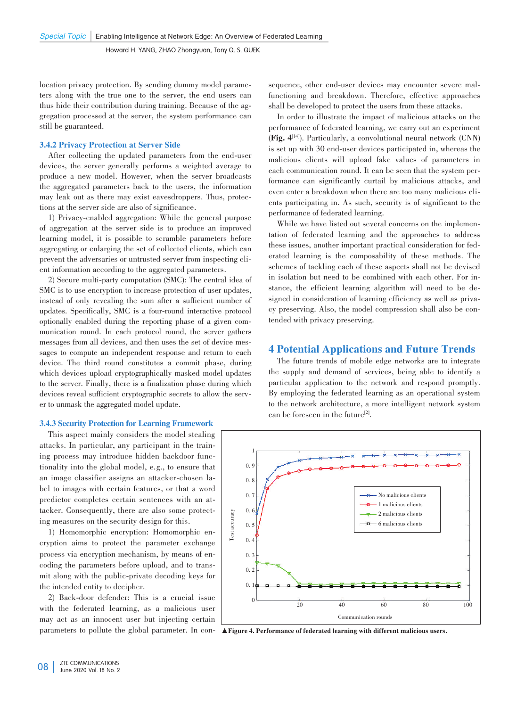location privacy protection. By sending dummy model parameters along with the true one to the server, the end users can thus hide their contribution during training. Because of the aggregation processed at the server, the system performance can still be guaranteed.

#### 3.4.2 Privacy Protection at Server Side

After collecting the updated parameters from the end-user devices, the server generally performs a weighted average to produce a new model. However, when the server broadcasts the aggregated parameters back to the users, the information may leak out as there may exist eavesdroppers. Thus, protections at the server side are also of significance.

1) Privacy-enabled aggregation: While the general purpose of aggregation at the server side is to produce an improved learning model, it is possible to scramble parameters before aggregating or enlarging the set of collected clients, which can prevent the adversaries or untrusted server from inspecting client information according to the aggregated parameters.

2) Secure multi-party computation (SMC): The central idea of SMC is to use encryption to increase protection of user updates, instead of only revealing the sum after a sufficient number of updates. Specifically, SMC is a four-round interactive protocol optionally enabled during the reporting phase of a given com⁃ munication round. In each protocol round, the server gathers messages from all devices, and then uses the set of device messages to compute an independent response and return to each device. The third round constitutes a commit phase, during which devices upload cryptographically masked model updates to the server. Finally, there is a finalization phase during which devices reveal sufficient cryptographic secrets to allow the server to unmask the aggregated model update.

#### 3.4.3 Security Protection for Learning Framework

This aspect mainly considers the model stealing attacks. In particular, any participant in the training process may introduce hidden backdoor functionality into the global model, e.g., to ensure that an image classifier assigns an attacker-chosen la⁃ bel to images with certain features, or that a word predictor completes certain sentences with an attacker. Consequently, there are also some protecting measures on the security design for this.

1) Homomorphic encryption: Homomorphic encryption aims to protect the parameter exchange process via encryption mechanism, by means of encoding the parameters before upload, and to transmit along with the public-private decoding keys for the intended entity to decipher.

2) Back-door defender: This is a crucial issue with the federated learning, as a malicious user may act as an innocent user but injecting certain sequence, other end-user devices may encounter severe malfunctioning and breakdown. Therefore, effective approaches shall be developed to protect the users from these attacks.

In order to illustrate the impact of malicious attacks on the performance of federated learning, we carry out an experiment (Fig. 4[14] ). Particularly, a convolutional neural network (CNN) is set up with 30 end-user devices participated in, whereas the malicious clients will upload fake values of parameters in each communication round. It can be seen that the system performance can significantly curtail by malicious attacks, and even enter a breakdown when there are too many malicious clients participating in. As such, security is of significant to the performance of federated learning.

While we have listed out several concerns on the implementation of federated learning and the approaches to address these issues, another important practical consideration for federated learning is the composability of these methods. The schemes of tackling each of these aspects shall not be devised in isolation but need to be combined with each other. For instance, the efficient learning algorithm will need to be designed in consideration of learning efficiency as well as privacy preserving. Also, the model compression shall also be contended with privacy preserving.

## 4 Potential Applications and Future Trends

The future trends of mobile edge networks are to integrate the supply and demand of services, being able to identify a particular application to the network and respond promptly. By employing the federated learning as an operational system to the network architecture, a more intelligent network system can be foreseen in the future<sup>[2]</sup>.



parameters to pollute the global parameter. In con-**A**Figure 4. Performance of federated learning with different malicious users.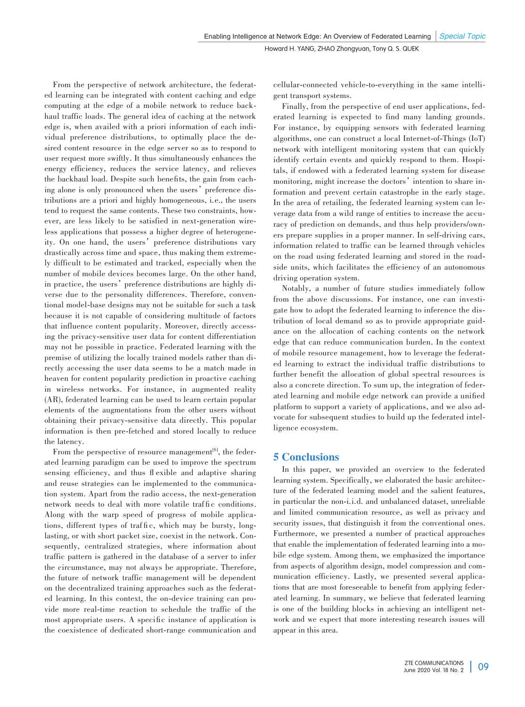From the perspective of network architecture, the federated learning can be integrated with content caching and edge computing at the edge of a mobile network to reduce backhaul traffic loads. The general idea of caching at the network edge is, when availed with a priori information of each individual preference distributions, to optimally place the desired content resource in the edge server so as to respond to user request more swiftly. It thus simultaneously enhances the energy efficiency, reduces the service latency, and relieves the backhaul load. Despite such benefits, the gain from caching alone is only pronounced when the users' preference distributions are a priori and highly homogeneous, i.e., the users tend to request the same contents. These two constraints, however, are less likely to be satisfied in next-generation wire less applications that possess a higher degree of heterogeneity. On one hand, the users' preference distributions vary drastically across time and space, thus making them extremely difficult to be estimated and tracked, especially when the number of mobile devices becomes large. On the other hand, in practice, the users' preference distributions are highly diverse due to the personality differences. Therefore, conventional model-base designs may not be suitable for such a task because it is not capable of considering multitude of factors that influence content popularity. Moreover, directly accessing the privacy-sensitive user data for content differentiation may not be possible in practice. Federated learning with the premise of utilizing the locally trained models rather than directly accessing the user data seems to be a match made in heaven for content popularity prediction in proactive caching in wireless networks. For instance, in augmented reality (AR), federated learning can be used to learn certain popular elements of the augmentations from the other users without obtaining their privacy-sensitive data directly. This popular information is then pre-fetched and stored locally to reduce the latency.

From the perspective of resource management<sup>[6]</sup>, the federated learning paradigm can be used to improve the spectrum sensing efficiency, and thus fl exible and adaptive sharing and reuse strategies can be implemented to the communication system. Apart from the radio access, the next-generation network needs to deal with more volatile traffic conditions. Along with the warp speed of progress of mobile applications, different types of traffic, which may be bursty, longlasting, or with short packet size, coexist in the network. Consequently, centralized strategies, where information about traffic pattern is gathered in the database of a server to infer the circumstance, may not always be appropriate. Therefore, the future of network traffic management will be dependent on the decentralized training approaches such as the federated learning. In this context, the on-device training can provide more real-time reaction to schedule the traffic of the most appropriate users. A specific instance of application is the coexistence of dedicated short-range communication and cellular-connected vehicle-to-everything in the same intelligent transport systems.

Finally, from the perspective of end user applications, federated learning is expected to find many landing grounds. For instance, by equipping sensors with federated learning algorithms, one can construct a local Internet-of-Things (IoT) network with intelligent monitoring system that can quickly identify certain events and quickly respond to them. Hospitals, if endowed with a federated learning system for disease monitoring, might increase the doctors' intention to share information and prevent certain catastrophe in the early stage. In the area of retailing, the federated learning system can leverage data from a wild range of entities to increase the accuracy of prediction on demands, and thus help providers/owners prepare supplies in a proper manner. In self-driving cars, information related to traffic can be learned through vehicles on the road using federated learning and stored in the roadside units, which facilitates the efficiency of an autonomous driving operation system.

Notably, a number of future studies immediately follow from the above discussions. For instance, one can investigate how to adopt the federated learning to inference the distribution of local demand so as to provide appropriate guidance on the allocation of caching contents on the network edge that can reduce communication burden. In the context of mobile resource management, how to leverage the federated learning to extract the individual traffic distributions to further benefit the allocation of global spectral resources is also a concrete direction. To sum up, the integration of federated learning and mobile edge network can provide a unified platform to support a variety of applications, and we also advocate for subsequent studies to build up the federated intelligence ecosystem.

## 5 Conclusions

In this paper, we provided an overview to the federated learning system. Specifically, we elaborated the basic architecture of the federated learning model and the salient features, in particular the non-i.i.d. and unbalanced dataset, unreliable and limited communication resource, as well as privacy and security issues, that distinguish it from the conventional ones. Furthermore, we presented a number of practical approaches that enable the implementation of federated learning into a mobile edge system. Among them, we emphasized the importance from aspects of algorithm design, model compression and communication efficiency. Lastly, we presented several applications that are most foreseeable to benefit from applying federated learning. In summary, we believe that federated learning is one of the building blocks in achieving an intelligent network and we expect that more interesting research issues will appear in this area.